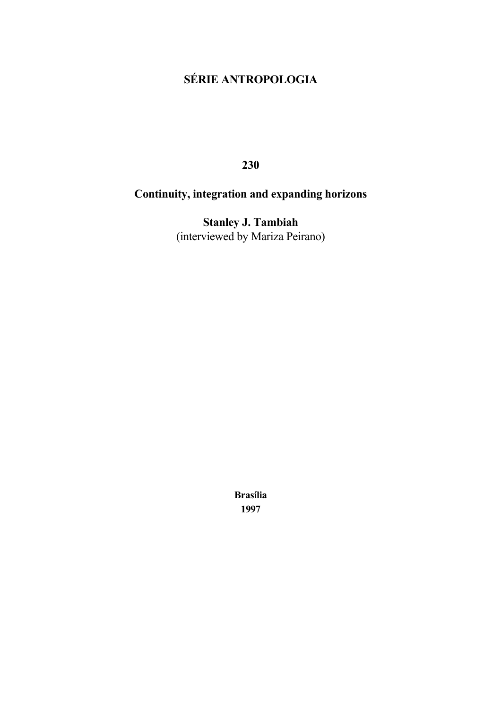# **SÉRIE ANTROPOLOGIA**

**230**

# **Continuity, integration and expanding horizons**

**Stanley J. Tambiah** (interviewed by Mariza Peirano)

> **Brasília 1997**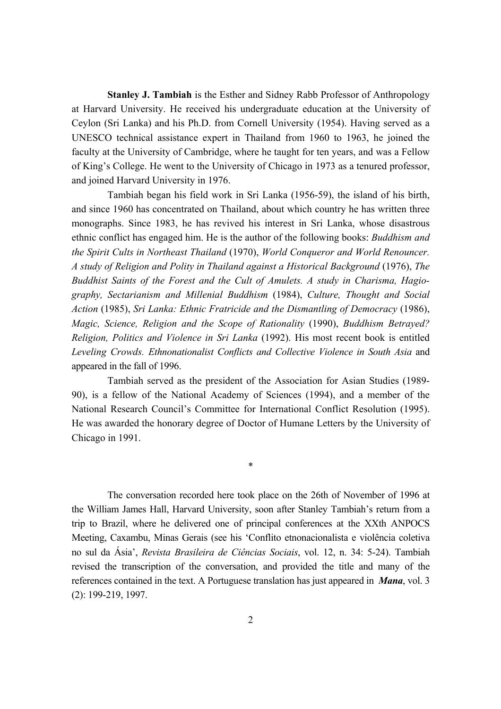**Stanley J. Tambiah** is the Esther and Sidney Rabb Professor of Anthropology at Harvard University. He received his undergraduate education at the University of Ceylon (Sri Lanka) and his Ph.D. from Cornell University (1954). Having served as a UNESCO technical assistance expert in Thailand from 1960 to 1963, he joined the faculty at the University of Cambridge, where he taught for ten years, and was a Fellow of King's College. He went to the University of Chicago in 1973 as a tenured professor, and joined Harvard University in 1976.

Tambiah began his field work in Sri Lanka (1956-59), the island of his birth, and since 1960 has concentrated on Thailand, about which country he has written three monographs. Since 1983, he has revived his interest in Sri Lanka, whose disastrous ethnic conflict has engaged him. He is the author of the following books: *Buddhism and the Spirit Cults in Northeast Thailand* (1970), *World Conqueror and World Renouncer. A study of Religion and Polity in Thailand against a Historical Background* (1976), *The Buddhist Saints of the Forest and the Cult of Amulets. A study in Charisma, Hagiography, Sectarianism and Millenial Buddhism* (1984), *Culture, Thought and Social Action* (1985), *Sri Lanka: Ethnic Fratricide and the Dismantling of Democracy* (1986), *Magic, Science, Religion and the Scope of Rationality* (1990), *Buddhism Betrayed? Religion, Politics and Violence in Sri Lanka* (1992). His most recent book is entitled *Leveling Crowds. Ethnonationalist Conflicts and Collective Violence in South Asia* and appeared in the fall of 1996.

Tambiah served as the president of the Association for Asian Studies (1989- 90), is a fellow of the National Academy of Sciences (1994), and a member of the National Research Council's Committee for International Conflict Resolution (1995). He was awarded the honorary degree of Doctor of Humane Letters by the University of Chicago in 1991.

\*

The conversation recorded here took place on the 26th of November of 1996 at the William James Hall, Harvard University, soon after Stanley Tambiah's return from a trip to Brazil, where he delivered one of principal conferences at the XXth ANPOCS Meeting, Caxambu, Minas Gerais (see his 'Conflito etnonacionalista e violência coletiva no sul da Ásia', *Revista Brasileira de Ciências Sociais*, vol. 12, n. 34: 5-24). Tambiah revised the transcription of the conversation, and provided the title and many of the references contained in the text. A Portuguese translation has just appeared in *Mana*, vol. 3 (2): 199-219, 1997.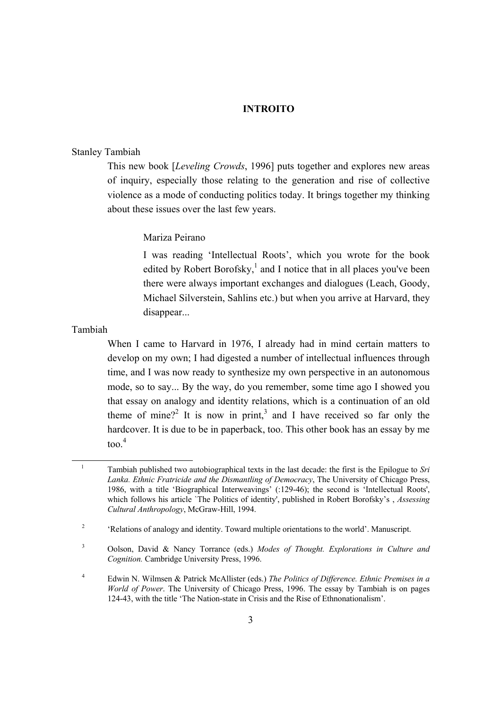# **INTROITO**

# Stanley Tambiah

This new book [*Leveling Crowds*, 1996] puts together and explores new areas of inquiry, especially those relating to the generation and rise of collective violence as a mode of conducting politics today. It brings together my thinking about these issues over the last few years.

### Mariza Peirano

I was reading 'Intellectual Roots', which you wrote for the book edited by Robert Borofsky,<sup>1</sup> and I notice that in all places you've been there were always important exchanges and dialogues (Leach, Goody, Michael Silverstein, Sahlins etc.) but when you arrive at Harvard, they disappear...

Tambiah

 $\overline{a}$ 

When I came to Harvard in 1976, I already had in mind certain matters to develop on my own; I had digested a number of intellectual influences through time, and I was now ready to synthesize my own perspective in an autonomous mode, so to say... By the way, do you remember, some time ago I showed you that essay on analogy and identity relations, which is a continuation of an old theme of mine?<sup>[2](#page-2-1)</sup> It is now in print,<sup>3</sup> and I have received so far only the hardcover. It is due to be in paperback, too. This other book has an essay by me  $\frac{4}{100}$  $\frac{4}{100}$  $\frac{4}{100}$ 

<span id="page-2-0"></span><sup>1</sup> Tambiah published two autobiographical texts in the last decade: the first is the Epilogue to *Sri Lanka. Ethnic Fratricide and the Dismantling of Democracy*, The University of Chicago Press, 1986, with a title 'Biographical Interweavings' (:129-46); the second is 'Intellectual Roots', which follows his article `The Politics of identity', published in Robert Borofsky's , *Assessing Cultural Anthropology*, McGraw-Hill, 1994.

<span id="page-2-1"></span><sup>&</sup>lt;sup>2</sup> 'Relations of analogy and identity. Toward multiple orientations to the world'. Manuscript.

<span id="page-2-2"></span><sup>3</sup> Oolson, David & Nancy Torrance (eds.) *Modes of Thought. Explorations in Culture and Cognition.* Cambridge University Press, 1996.

<span id="page-2-3"></span><sup>4</sup> Edwin N. Wilmsen & Patrick McAllister (eds.) *The Politics of Difference. Ethnic Premises in a World of Power*. The University of Chicago Press, 1996. The essay by Tambiah is on pages 124-43, with the title 'The Nation-state in Crisis and the Rise of Ethnonationalism'.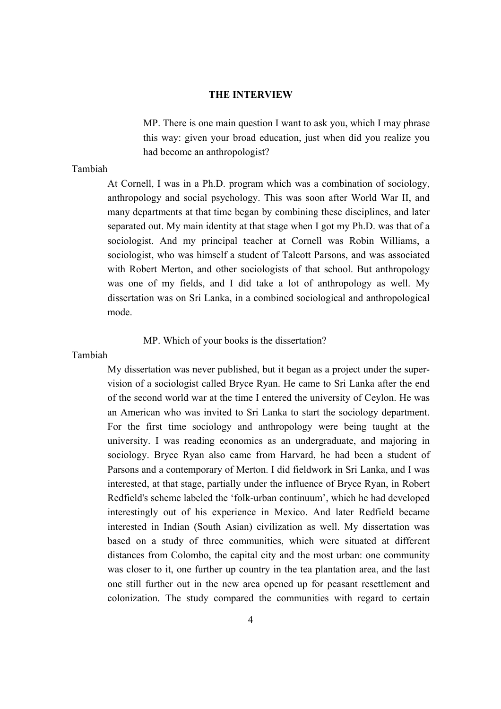#### **THE INTERVIEW**

MP. There is one main question I want to ask you, which I may phrase this way: given your broad education, just when did you realize you had become an anthropologist?

# Tambiah

At Cornell, I was in a Ph.D. program which was a combination of sociology, anthropology and social psychology. This was soon after World War II, and many departments at that time began by combining these disciplines, and later separated out. My main identity at that stage when I got my Ph.D. was that of a sociologist. And my principal teacher at Cornell was Robin Williams, a sociologist, who was himself a student of Talcott Parsons, and was associated with Robert Merton, and other sociologists of that school. But anthropology was one of my fields, and I did take a lot of anthropology as well. My dissertation was on Sri Lanka, in a combined sociological and anthropological mode.

MP. Which of your books is the dissertation?

# Tambiah

My dissertation was never published, but it began as a project under the supervision of a sociologist called Bryce Ryan. He came to Sri Lanka after the end of the second world war at the time I entered the university of Ceylon. He was an American who was invited to Sri Lanka to start the sociology department. For the first time sociology and anthropology were being taught at the university. I was reading economics as an undergraduate, and majoring in sociology. Bryce Ryan also came from Harvard, he had been a student of Parsons and a contemporary of Merton. I did fieldwork in Sri Lanka, and I was interested, at that stage, partially under the influence of Bryce Ryan, in Robert Redfield's scheme labeled the 'folk-urban continuum', which he had developed interestingly out of his experience in Mexico. And later Redfield became interested in Indian (South Asian) civilization as well. My dissertation was based on a study of three communities, which were situated at different distances from Colombo, the capital city and the most urban: one community was closer to it, one further up country in the tea plantation area, and the last one still further out in the new area opened up for peasant resettlement and colonization. The study compared the communities with regard to certain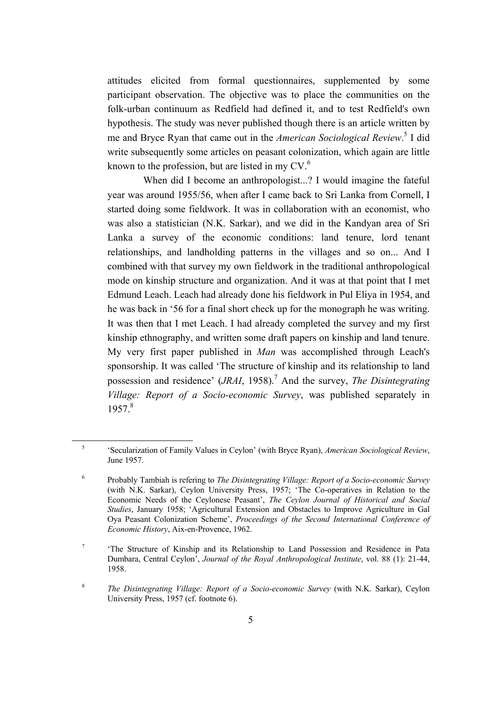attitudes elicited from formal questionnaires, supplemented by some participant observation. The objective was to place the communities on the folk-urban continuum as Redfield had defined it, and to test Redfield's own hypothesis. The study was never published though there is an article written by me and Bryce Ryan that came out in the *American Sociological Review*. [5](#page-4-0) I did write subsequently some articles on peasant colonization, which again are little known to the profession, but are listed in my  $CV<sup>6</sup>$  $CV<sup>6</sup>$  $CV<sup>6</sup>$ .

When did I become an anthropologist...? I would imagine the fateful year was around 1955/56, when after I came back to Sri Lanka from Cornell, I started doing some fieldwork. It was in collaboration with an economist, who was also a statistician (N.K. Sarkar), and we did in the Kandyan area of Sri Lanka a survey of the economic conditions: land tenure, lord tenant relationships, and landholding patterns in the villages and so on... And I combined with that survey my own fieldwork in the traditional anthropological mode on kinship structure and organization. And it was at that point that I met Edmund Leach. Leach had already done his fieldwork in Pul Eliya in 1954, and he was back in '56 for a final short check up for the monograph he was writing. It was then that I met Leach. I had already completed the survey and my first kinship ethnography, and written some draft papers on kinship and land tenure. My very first paper published in *Man* was accomplished through Leach's sponsorship. It was called 'The structure of kinship and its relationship to land possession and residence' (*JRAI*, 1958).<sup>[7](#page-4-2)</sup> And the survey, *The Disintegrating Village: Report of a Socio-economic Survey*, was published separately in 1957<sup>[8](#page-4-3)</sup>

<span id="page-4-0"></span><sup>5</sup> 'Secularization of Family Values in Ceylon' (with Bryce Ryan), *American Sociological Review*, June 1957.

<span id="page-4-1"></span><sup>6</sup> Probably Tambiah is refering to *The Disintegrating Village: Report of a Socio-economic Survey* (with N.K. Sarkar), Ceylon University Press, 1957; 'The Co-operatives in Relation to the Economic Needs of the Ceylonese Peasant', *The Ceylon Journal of Historical and Social Studies*, January 1958; 'Agricultural Extension and Obstacles to Improve Agriculture in Gal Oya Peasant Colonization Scheme', *Proceedings of the Second International Conference of Economic History*, Aix-en-Provence, 1962.

<span id="page-4-2"></span><sup>7</sup> 'The Structure of Kinship and its Relationship to Land Possession and Residence in Pata Dumbara, Central Ceylon', *Journal of the Royal Anthropological Institute*, vol. 88 (1): 21-44, 1958.

<span id="page-4-3"></span><sup>8</sup> *The Disintegrating Village: Report of a Socio-economic Survey* (with N.K. Sarkar), Ceylon University Press, 1957 (cf. footnote 6).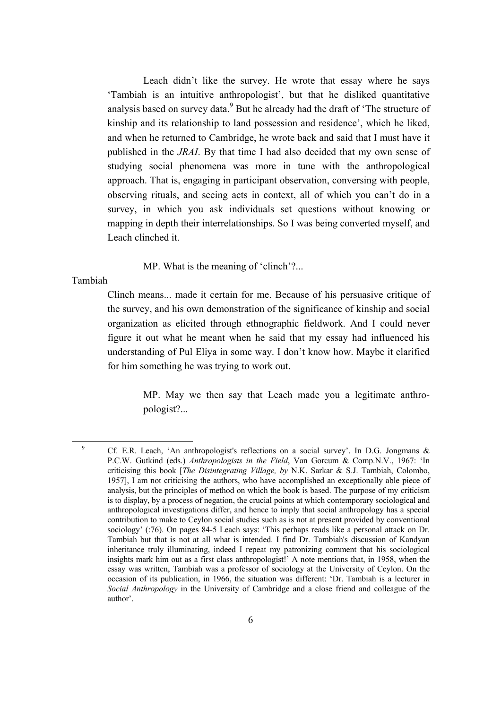Leach didn't like the survey. He wrote that essay where he says 'Tambiah is an intuitive anthropologist', but that he disliked quantitative analysis based on survey data.<sup>[9](#page-5-0)</sup> But he already had the draft of 'The structure of kinship and its relationship to land possession and residence', which he liked, and when he returned to Cambridge, he wrote back and said that I must have it published in the *JRAI*. By that time I had also decided that my own sense of studying social phenomena was more in tune with the anthropological approach. That is, engaging in participant observation, conversing with people, observing rituals, and seeing acts in context, all of which you can't do in a survey, in which you ask individuals set questions without knowing or mapping in depth their interrelationships. So I was being converted myself, and Leach clinched it.

MP. What is the meaning of 'clinch'?...

Tambiah

 $\overline{a}$ 

Clinch means... made it certain for me. Because of his persuasive critique of the survey, and his own demonstration of the significance of kinship and social organization as elicited through ethnographic fieldwork. And I could never figure it out what he meant when he said that my essay had influenced his understanding of Pul Eliya in some way. I don't know how. Maybe it clarified for him something he was trying to work out.

> MP. May we then say that Leach made you a legitimate anthropologist?...

<span id="page-5-0"></span><sup>9</sup> Cf. E.R. Leach, 'An anthropologist's reflections on a social survey'. In D.G. Jongmans & P.C.W. Gutkind (eds.) *Anthropologists in the Field*, Van Gorcum & Comp.N.V., 1967: 'In criticising this book [*The Disintegrating Village, by* N.K. Sarkar & S.J. Tambiah, Colombo, 1957], I am not criticising the authors, who have accomplished an exceptionally able piece of analysis, but the principles of method on which the book is based. The purpose of my criticism is to display, by a process of negation, the crucial points at which contemporary sociological and anthropological investigations differ, and hence to imply that social anthropology has a special contribution to make to Ceylon social studies such as is not at present provided by conventional sociology' (:76). On pages 84-5 Leach says: 'This perhaps reads like a personal attack on Dr. Tambiah but that is not at all what is intended. I find Dr. Tambiah's discussion of Kandyan inheritance truly illuminating, indeed I repeat my patronizing comment that his sociological insights mark him out as a first class anthropologist!' A note mentions that, in 1958, when the essay was written, Tambiah was a professor of sociology at the University of Ceylon. On the occasion of its publication, in 1966, the situation was different: 'Dr. Tambiah is a lecturer in *Social Anthropology* in the University of Cambridge and a close friend and colleague of the author'.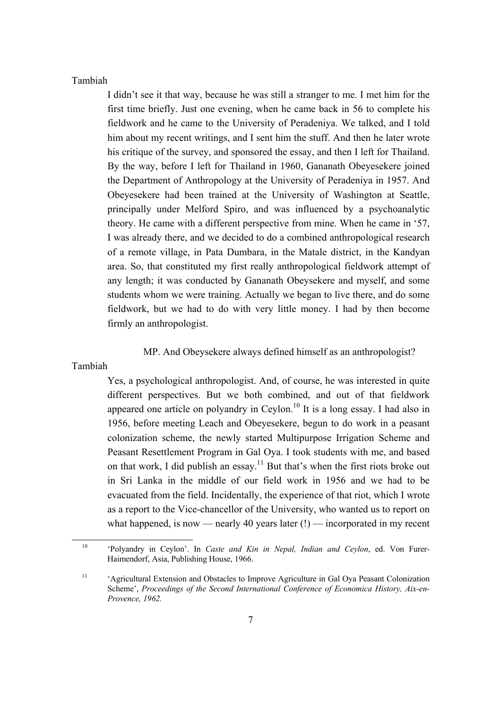#### Tambiah

I didn't see it that way, because he was still a stranger to me. I met him for the first time briefly. Just one evening, when he came back in 56 to complete his fieldwork and he came to the University of Peradeniya. We talked, and I told him about my recent writings, and I sent him the stuff. And then he later wrote his critique of the survey, and sponsored the essay, and then I left for Thailand. By the way, before I left for Thailand in 1960, Gananath Obeyesekere joined the Department of Anthropology at the University of Peradeniya in 1957. And Obeyesekere had been trained at the University of Washington at Seattle, principally under Melford Spiro, and was influenced by a psychoanalytic theory. He came with a different perspective from mine. When he came in '57, I was already there, and we decided to do a combined anthropological research of a remote village, in Pata Dumbara, in the Matale district, in the Kandyan area. So, that constituted my first really anthropological fieldwork attempt of any length; it was conducted by Gananath Obeysekere and myself, and some students whom we were training. Actually we began to live there, and do some fieldwork, but we had to do with very little money. I had by then become firmly an anthropologist.

# MP. And Obeysekere always defined himself as an anthropologist?

#### Tambiah

Yes, a psychological anthropologist. And, of course, he was interested in quite different perspectives. But we both combined, and out of that fieldwork appeared one article on polyandry in Ceylon.<sup>[10](#page-6-0)</sup> It is a long essay. I had also in 1956, before meeting Leach and Obeyesekere, begun to do work in a peasant colonization scheme, the newly started Multipurpose Irrigation Scheme and Peasant Resettlement Program in Gal Oya. I took students with me, and based on that work, I did publish an essay.<sup>[11](#page-6-1)</sup> But that's when the first riots broke out in Sri Lanka in the middle of our field work in 1956 and we had to be evacuated from the field. Incidentally, the experience of that riot, which I wrote as a report to the Vice-chancellor of the University, who wanted us to report on what happened, is now — nearly 40 years later (!) — incorporated in my recent

<span id="page-6-0"></span><sup>10</sup> 'Polyandry in Ceylon'. In *Caste and Kin in Nepal, Indian and Ceylon*, ed. Von Furer-Haimendorf, Asia, Publishing House, 1966.

<span id="page-6-1"></span><sup>&</sup>lt;sup>11</sup> 'Agricultural Extension and Obstacles to Improve Agriculture in Gal Oya Peasant Colonization Scheme', *Proceedings of the Second International Conference of Economica History, Aix-en-Provence, 1962.*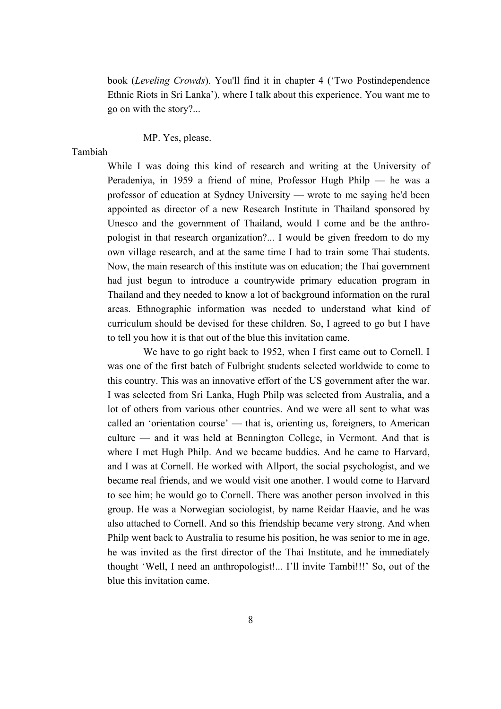book (*Leveling Crowds*). You'll find it in chapter 4 ('Two Postindependence Ethnic Riots in Sri Lanka'), where I talk about this experience. You want me to go on with the story?...

# MP. Yes, please.

# Tambiah

While I was doing this kind of research and writing at the University of Peradeniya, in 1959 a friend of mine, Professor Hugh Philp — he was a professor of education at Sydney University — wrote to me saying he'd been appointed as director of a new Research Institute in Thailand sponsored by Unesco and the government of Thailand, would I come and be the anthropologist in that research organization?... I would be given freedom to do my own village research, and at the same time I had to train some Thai students. Now, the main research of this institute was on education; the Thai government had just begun to introduce a countrywide primary education program in Thailand and they needed to know a lot of background information on the rural areas. Ethnographic information was needed to understand what kind of curriculum should be devised for these children. So, I agreed to go but I have to tell you how it is that out of the blue this invitation came.

We have to go right back to 1952, when I first came out to Cornell. I was one of the first batch of Fulbright students selected worldwide to come to this country. This was an innovative effort of the US government after the war. I was selected from Sri Lanka, Hugh Philp was selected from Australia, and a lot of others from various other countries. And we were all sent to what was called an 'orientation course' — that is, orienting us, foreigners, to American culture — and it was held at Bennington College, in Vermont. And that is where I met Hugh Philp. And we became buddies. And he came to Harvard, and I was at Cornell. He worked with Allport, the social psychologist, and we became real friends, and we would visit one another. I would come to Harvard to see him; he would go to Cornell. There was another person involved in this group. He was a Norwegian sociologist, by name Reidar Haavie, and he was also attached to Cornell. And so this friendship became very strong. And when Philp went back to Australia to resume his position, he was senior to me in age, he was invited as the first director of the Thai Institute, and he immediately thought 'Well, I need an anthropologist!... I'll invite Tambi!!!' So, out of the blue this invitation came.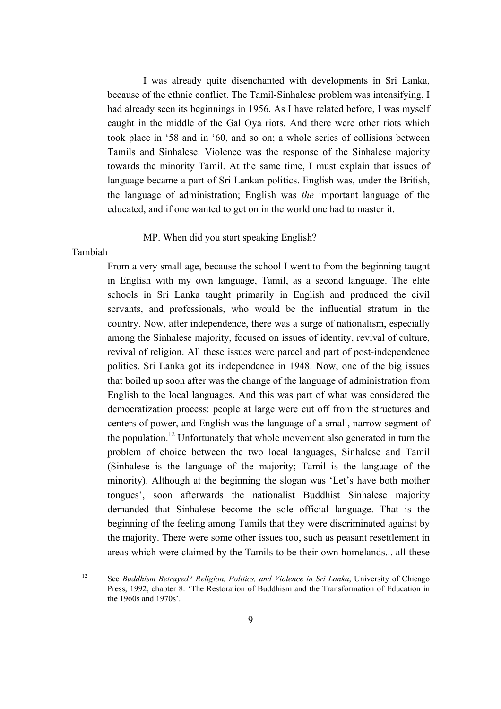I was already quite disenchanted with developments in Sri Lanka, because of the ethnic conflict. The Tamil-Sinhalese problem was intensifying, I had already seen its beginnings in 1956. As I have related before, I was myself caught in the middle of the Gal Oya riots. And there were other riots which took place in '58 and in '60, and so on; a whole series of collisions between Tamils and Sinhalese. Violence was the response of the Sinhalese majority towards the minority Tamil. At the same time, I must explain that issues of language became a part of Sri Lankan politics. English was, under the British, the language of administration; English was *the* important language of the educated, and if one wanted to get on in the world one had to master it.

# MP. When did you start speaking English?

#### Tambiah

From a very small age, because the school I went to from the beginning taught in English with my own language, Tamil, as a second language. The elite schools in Sri Lanka taught primarily in English and produced the civil servants, and professionals, who would be the influential stratum in the country. Now, after independence, there was a surge of nationalism, especially among the Sinhalese majority, focused on issues of identity, revival of culture, revival of religion. All these issues were parcel and part of post-independence politics. Sri Lanka got its independence in 1948. Now, one of the big issues that boiled up soon after was the change of the language of administration from English to the local languages. And this was part of what was considered the democratization process: people at large were cut off from the structures and centers of power, and English was the language of a small, narrow segment of the population.<sup>12</sup> Unfortunately that whole movement also generated in turn the problem of choice between the two local languages, Sinhalese and Tamil (Sinhalese is the language of the majority; Tamil is the language of the minority). Although at the beginning the slogan was 'Let's have both mother tongues', soon afterwards the nationalist Buddhist Sinhalese majority demanded that Sinhalese become the sole official language. That is the beginning of the feeling among Tamils that they were discriminated against by the majority. There were some other issues too, such as peasant resettlement in areas which were claimed by the Tamils to be their own homelands... all these

<span id="page-8-0"></span><sup>12</sup> See *Buddhism Betrayed? Religion, Politics, and Violence in Sri Lanka*, University of Chicago Press, 1992, chapter 8: 'The Restoration of Buddhism and the Transformation of Education in the 1960s and 1970s'.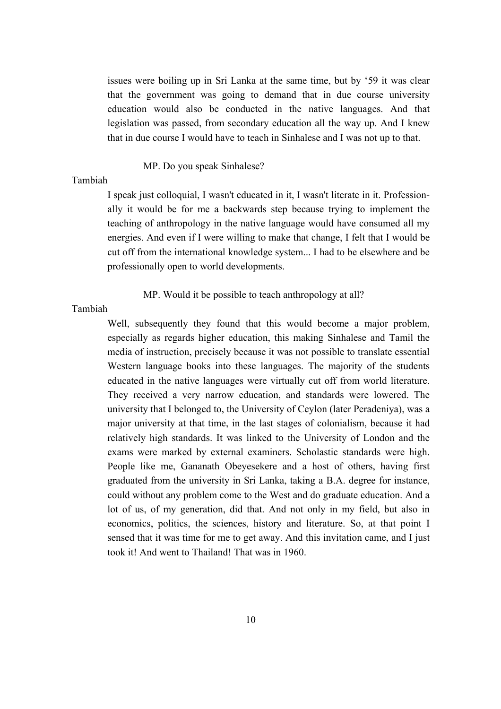issues were boiling up in Sri Lanka at the same time, but by '59 it was clear that the government was going to demand that in due course university education would also be conducted in the native languages. And that legislation was passed, from secondary education all the way up. And I knew that in due course I would have to teach in Sinhalese and I was not up to that.

## MP. Do you speak Sinhalese?

# Tambiah

I speak just colloquial, I wasn't educated in it, I wasn't literate in it. Professionally it would be for me a backwards step because trying to implement the teaching of anthropology in the native language would have consumed all my energies. And even if I were willing to make that change, I felt that I would be cut off from the international knowledge system... I had to be elsewhere and be professionally open to world developments.

MP. Would it be possible to teach anthropology at all?

Tambiah

Well, subsequently they found that this would become a major problem, especially as regards higher education, this making Sinhalese and Tamil the media of instruction, precisely because it was not possible to translate essential Western language books into these languages. The majority of the students educated in the native languages were virtually cut off from world literature. They received a very narrow education, and standards were lowered. The university that I belonged to, the University of Ceylon (later Peradeniya), was a major university at that time, in the last stages of colonialism, because it had relatively high standards. It was linked to the University of London and the exams were marked by external examiners. Scholastic standards were high. People like me, Gananath Obeyesekere and a host of others, having first graduated from the university in Sri Lanka, taking a B.A. degree for instance, could without any problem come to the West and do graduate education. And a lot of us, of my generation, did that. And not only in my field, but also in economics, politics, the sciences, history and literature. So, at that point I sensed that it was time for me to get away. And this invitation came, and I just took it! And went to Thailand! That was in 1960.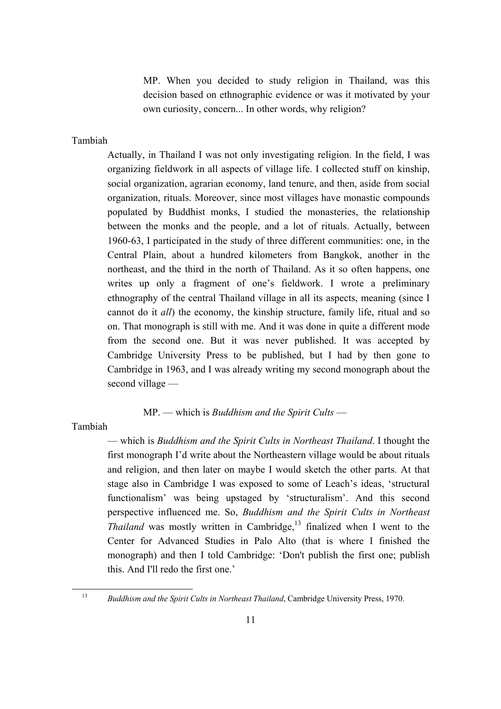MP. When you decided to study religion in Thailand, was this decision based on ethnographic evidence or was it motivated by your own curiosity, concern... In other words, why religion?

Tambiah

Actually, in Thailand I was not only investigating religion. In the field, I was organizing fieldwork in all aspects of village life. I collected stuff on kinship, social organization, agrarian economy, land tenure, and then, aside from social organization, rituals. Moreover, since most villages have monastic compounds populated by Buddhist monks, I studied the monasteries, the relationship between the monks and the people, and a lot of rituals. Actually, between 1960-63, I participated in the study of three different communities: one, in the Central Plain, about a hundred kilometers from Bangkok, another in the northeast, and the third in the north of Thailand. As it so often happens, one writes up only a fragment of one's fieldwork. I wrote a preliminary ethnography of the central Thailand village in all its aspects, meaning (since I cannot do it *all*) the economy, the kinship structure, family life, ritual and so on. That monograph is still with me. And it was done in quite a different mode from the second one. But it was never published. It was accepted by Cambridge University Press to be published, but I had by then gone to Cambridge in 1963, and I was already writing my second monograph about the second village —

# MP. — which is *Buddhism and the Spirit Cults* —

Tambiah

— which is *Buddhism and the Spirit Cults in Northeast Thailand*. I thought the first monograph I'd write about the Northeastern village would be about rituals and religion, and then later on maybe I would sketch the other parts. At that stage also in Cambridge I was exposed to some of Leach's ideas, 'structural functionalism' was being upstaged by 'structuralism'. And this second perspective influenced me. So, *Buddhism and the Spirit Cults in Northeast Thailand* was mostly written in Cambridge,<sup>13</sup> finalized when I went to the Center for Advanced Studies in Palo Alto (that is where I finished the monograph) and then I told Cambridge: 'Don't publish the first one; publish this. And I'll redo the first one.'

<span id="page-10-0"></span><sup>&</sup>lt;sup>13</sup> *Buddhism and the Spirit Cults in Northeast Thailand*, Cambridge University Press, 1970.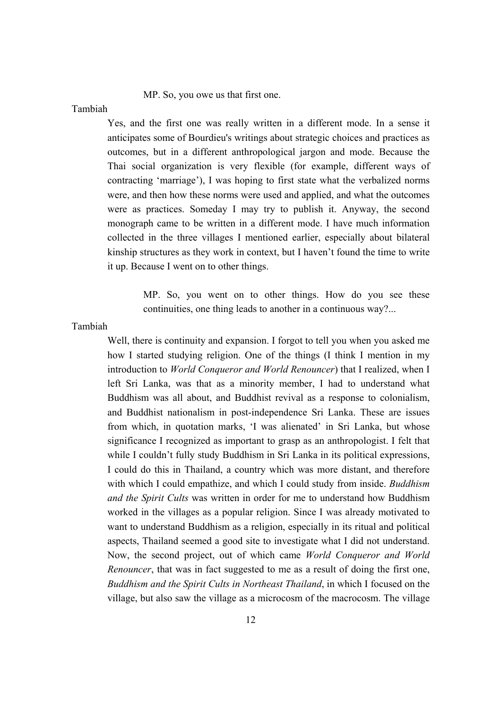MP. So, you owe us that first one.

### Tambiah

Yes, and the first one was really written in a different mode. In a sense it anticipates some of Bourdieu's writings about strategic choices and practices as outcomes, but in a different anthropological jargon and mode. Because the Thai social organization is very flexible (for example, different ways of contracting 'marriage'), I was hoping to first state what the verbalized norms were, and then how these norms were used and applied, and what the outcomes were as practices. Someday I may try to publish it. Anyway, the second monograph came to be written in a different mode. I have much information collected in the three villages I mentioned earlier, especially about bilateral kinship structures as they work in context, but I haven't found the time to write it up. Because I went on to other things.

> MP. So, you went on to other things. How do you see these continuities, one thing leads to another in a continuous way?...

#### Tambiah

Well, there is continuity and expansion. I forgot to tell you when you asked me how I started studying religion. One of the things (I think I mention in my introduction to *World Conqueror and World Renouncer*) that I realized, when I left Sri Lanka, was that as a minority member, I had to understand what Buddhism was all about, and Buddhist revival as a response to colonialism, and Buddhist nationalism in post-independence Sri Lanka. These are issues from which, in quotation marks, 'I was alienated' in Sri Lanka, but whose significance I recognized as important to grasp as an anthropologist. I felt that while I couldn't fully study Buddhism in Sri Lanka in its political expressions, I could do this in Thailand, a country which was more distant, and therefore with which I could empathize, and which I could study from inside. *Buddhism and the Spirit Cults* was written in order for me to understand how Buddhism worked in the villages as a popular religion. Since I was already motivated to want to understand Buddhism as a religion, especially in its ritual and political aspects, Thailand seemed a good site to investigate what I did not understand. Now, the second project, out of which came *World Conqueror and World Renouncer*, that was in fact suggested to me as a result of doing the first one, *Buddhism and the Spirit Cults in Northeast Thailand*, in which I focused on the village, but also saw the village as a microcosm of the macrocosm. The village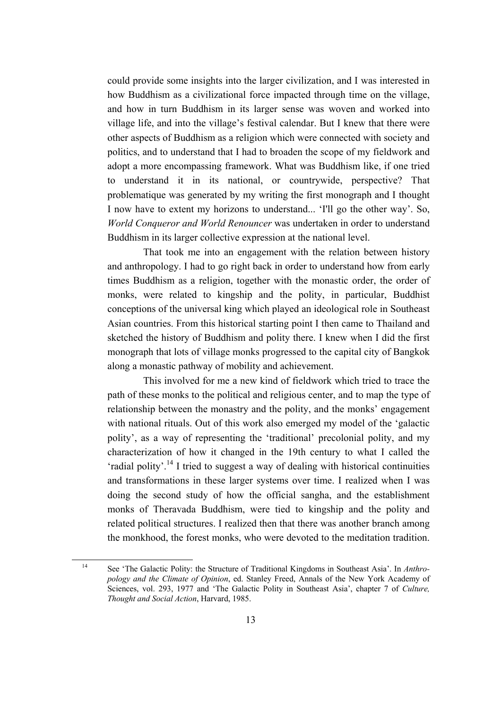could provide some insights into the larger civilization, and I was interested in how Buddhism as a civilizational force impacted through time on the village, and how in turn Buddhism in its larger sense was woven and worked into village life, and into the village's festival calendar. But I knew that there were other aspects of Buddhism as a religion which were connected with society and politics, and to understand that I had to broaden the scope of my fieldwork and adopt a more encompassing framework. What was Buddhism like, if one tried to understand it in its national, or countrywide, perspective? That problematique was generated by my writing the first monograph and I thought I now have to extent my horizons to understand... 'I'll go the other way'. So, *World Conqueror and World Renouncer* was undertaken in order to understand Buddhism in its larger collective expression at the national level.

That took me into an engagement with the relation between history and anthropology. I had to go right back in order to understand how from early times Buddhism as a religion, together with the monastic order, the order of monks, were related to kingship and the polity, in particular, Buddhist conceptions of the universal king which played an ideological role in Southeast Asian countries. From this historical starting point I then came to Thailand and sketched the history of Buddhism and polity there. I knew when I did the first monograph that lots of village monks progressed to the capital city of Bangkok along a monastic pathway of mobility and achievement.

This involved for me a new kind of fieldwork which tried to trace the path of these monks to the political and religious center, and to map the type of relationship between the monastry and the polity, and the monks' engagement with national rituals. Out of this work also emerged my model of the 'galactic polity', as a way of representing the 'traditional' precolonial polity, and my characterization of how it changed in the 19th century to what I called the 'radial polity'[.14](#page-12-0) I tried to suggest a way of dealing with historical continuities and transformations in these larger systems over time. I realized when I was doing the second study of how the official sangha, and the establishment monks of Theravada Buddhism, were tied to kingship and the polity and related political structures. I realized then that there was another branch among the monkhood, the forest monks, who were devoted to the meditation tradition.

<span id="page-12-0"></span><sup>14</sup> See 'The Galactic Polity: the Structure of Traditional Kingdoms in Southeast Asia'. In *Anthropology and the Climate of Opinion*, ed. Stanley Freed, Annals of the New York Academy of Sciences, vol. 293, 1977 and 'The Galactic Polity in Southeast Asia', chapter 7 of *Culture, Thought and Social Action*, Harvard, 1985.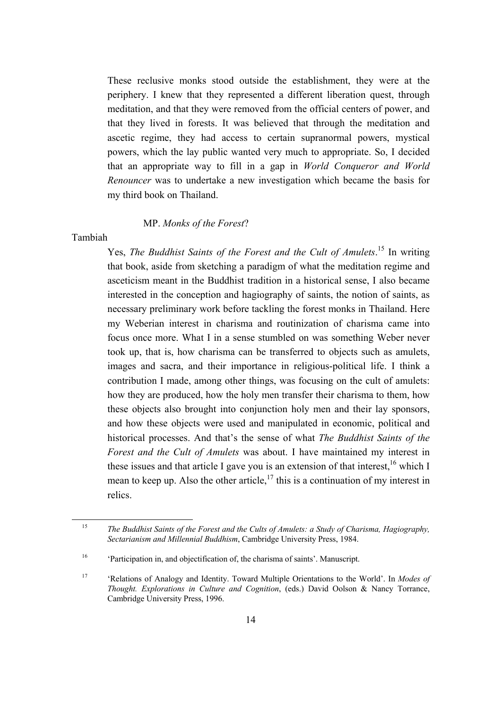These reclusive monks stood outside the establishment, they were at the periphery. I knew that they represented a different liberation quest, through meditation, and that they were removed from the official centers of power, and that they lived in forests. It was believed that through the meditation and ascetic regime, they had access to certain supranormal powers, mystical powers, which the lay public wanted very much to appropriate. So, I decided that an appropriate way to fill in a gap in *World Conqueror and World Renouncer* was to undertake a new investigation which became the basis for my third book on Thailand.

# MP. *Monks of the Forest*?

# Tambiah

Yes, *The Buddhist Saints of the Forest and the Cult of Amulets*. [15](#page-13-0) In writing that book, aside from sketching a paradigm of what the meditation regime and asceticism meant in the Buddhist tradition in a historical sense, I also became interested in the conception and hagiography of saints, the notion of saints, as necessary preliminary work before tackling the forest monks in Thailand. Here my Weberian interest in charisma and routinization of charisma came into focus once more. What I in a sense stumbled on was something Weber never took up, that is, how charisma can be transferred to objects such as amulets, images and sacra, and their importance in religious-political life. I think a contribution I made, among other things, was focusing on the cult of amulets: how they are produced, how the holy men transfer their charisma to them, how these objects also brought into conjunction holy men and their lay sponsors, and how these objects were used and manipulated in economic, political and historical processes. And that's the sense of what *The Buddhist Saints of the Forest and the Cult of Amulets* was about. I have maintained my interest in these issues and that article I gave you is an extension of that interest,  $16$  which I mean to keep up. Also the other article,<sup>17</sup> this is a continuation of my interest in relics.

<span id="page-13-0"></span><sup>15</sup> *The Buddhist Saints of the Forest and the Cults of Amulets: a Study of Charisma, Hagiography, Sectarianism and Millennial Buddhism*, Cambridge University Press, 1984.

<span id="page-13-1"></span><sup>&</sup>lt;sup>16</sup> 'Participation in, and objectification of, the charisma of saints'. Manuscript.

<span id="page-13-2"></span><sup>17</sup> 'Relations of Analogy and Identity. Toward Multiple Orientations to the World'. In *Modes of Thought. Explorations in Culture and Cognition*, (eds.) David Oolson & Nancy Torrance, Cambridge University Press, 1996.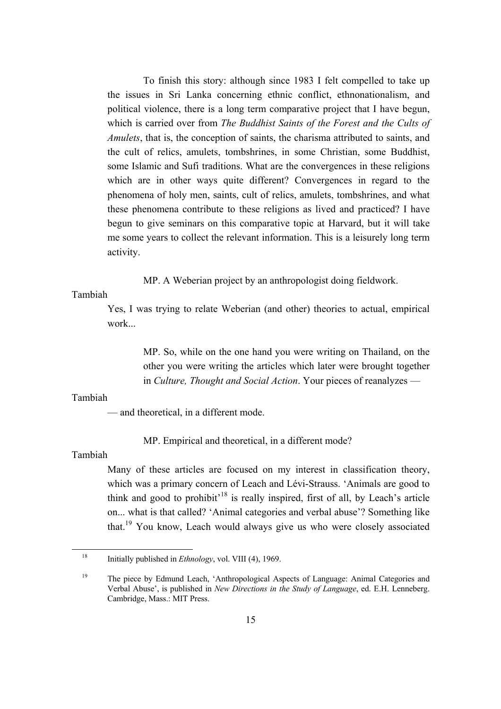To finish this story: although since 1983 I felt compelled to take up the issues in Sri Lanka concerning ethnic conflict, ethnonationalism, and political violence, there is a long term comparative project that I have begun, which is carried over from *The Buddhist Saints of the Forest and the Cults of Amulets*, that is, the conception of saints, the charisma attributed to saints, and the cult of relics, amulets, tombshrines, in some Christian, some Buddhist, some Islamic and Sufi traditions. What are the convergences in these religions which are in other ways quite different? Convergences in regard to the phenomena of holy men, saints, cult of relics, amulets, tombshrines, and what these phenomena contribute to these religions as lived and practiced? I have begun to give seminars on this comparative topic at Harvard, but it will take me some years to collect the relevant information. This is a leisurely long term activity.

MP. A Weberian project by an anthropologist doing fieldwork.

Tambiah

Yes, I was trying to relate Weberian (and other) theories to actual, empirical work...

> MP. So, while on the one hand you were writing on Thailand, on the other you were writing the articles which later were brought together in *Culture, Thought and Social Action*. Your pieces of reanalyzes —

# Tambiah

— and theoretical, in a different mode.

MP. Empirical and theoretical, in a different mode?

Tambiah

Many of these articles are focused on my interest in classification theory, which was a primary concern of Leach and Lévi-Strauss. 'Animals are good to think and good to prohibit<sup> $18$ </sup> is really inspired, first of all, by Leach's article on... what is that called? 'Animal categories and verbal abuse'? Something like that.[19](#page-14-1) You know, Leach would always give us who were closely associated

<span id="page-14-0"></span><sup>18</sup> Initially published in *Ethnology*, vol. VIII (4), 1969.

<span id="page-14-1"></span><sup>&</sup>lt;sup>19</sup> The piece by Edmund Leach, 'Anthropological Aspects of Language: Animal Categories and Verbal Abuse', is published in *New Directions in the Study of Language*, ed. E.H. Lenneberg. Cambridge, Mass.: MIT Press.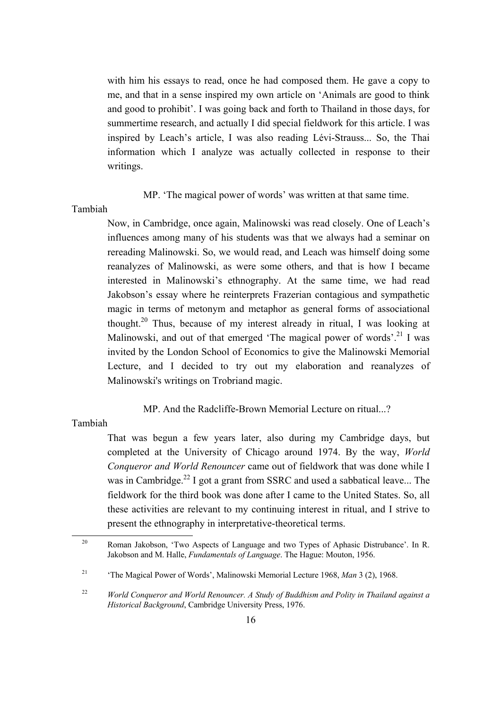with him his essays to read, once he had composed them. He gave a copy to me, and that in a sense inspired my own article on 'Animals are good to think and good to prohibit'. I was going back and forth to Thailand in those days, for summertime research, and actually I did special fieldwork for this article. I was inspired by Leach's article, I was also reading Lévi-Strauss... So, the Thai information which I analyze was actually collected in response to their writings.

MP. 'The magical power of words' was written at that same time.

# Tambiah

Now, in Cambridge, once again, Malinowski was read closely. One of Leach's influences among many of his students was that we always had a seminar on rereading Malinowski. So, we would read, and Leach was himself doing some reanalyzes of Malinowski, as were some others, and that is how I became interested in Malinowski's ethnography. At the same time, we had read Jakobson's essay where he reinterprets Frazerian contagious and sympathetic magic in terms of metonym and metaphor as general forms of associational thought.<sup>20</sup> Thus, because of my interest already in ritual, I was looking at Malinowski, and out of that emerged 'The magical power of words'.<sup>21</sup> I was invited by the London School of Economics to give the Malinowski Memorial Lecture, and I decided to try out my elaboration and reanalyzes of Malinowski's writings on Trobriand magic.

MP. And the Radcliffe-Brown Memorial Lecture on ritual...?

Tambiah

That was begun a few years later, also during my Cambridge days, but completed at the University of Chicago around 1974. By the way, *World Conqueror and World Renouncer* came out of fieldwork that was done while I was in Cambridge.<sup>22</sup> I got a grant from SSRC and used a sabbatical leave... The fieldwork for the third book was done after I came to the United States. So, all these activities are relevant to my continuing interest in ritual, and I strive to present the ethnography in interpretative-theoretical terms.

<span id="page-15-0"></span><sup>&</sup>lt;sup>20</sup> Roman Jakobson, 'Two Aspects of Language and two Types of Aphasic Distrubance'. In R. Jakobson and M. Halle, *Fundamentals of Language*. The Hague: Mouton, 1956.

<span id="page-15-1"></span><sup>21</sup> 'The Magical Power of Words', Malinowski Memorial Lecture 1968, *Man* 3 (2), 1968.

<span id="page-15-2"></span><sup>22</sup> *World Conqueror and World Renouncer. A Study of Buddhism and Polity in Thailand against a Historical Background*, Cambridge University Press, 1976.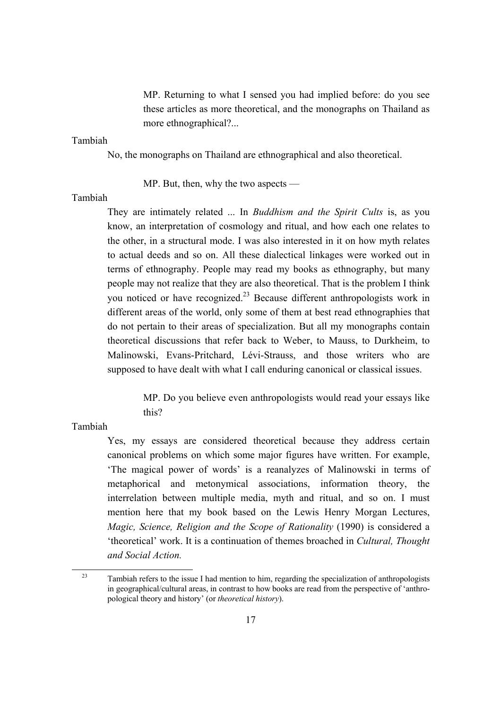MP. Returning to what I sensed you had implied before: do you see these articles as more theoretical, and the monographs on Thailand as more ethnographical?...

Tambiah

No, the monographs on Thailand are ethnographical and also theoretical.

MP. But, then, why the two aspects —

Tambiah

They are intimately related ... In *Buddhism and the Spirit Cults* is, as you know, an interpretation of cosmology and ritual, and how each one relates to the other, in a structural mode. I was also interested in it on how myth relates to actual deeds and so on. All these dialectical linkages were worked out in terms of ethnography. People may read my books as ethnography, but many people may not realize that they are also theoretical. That is the problem I think you noticed or have recognized.<sup>23</sup> Because different anthropologists work in different areas of the world, only some of them at best read ethnographies that do not pertain to their areas of specialization. But all my monographs contain theoretical discussions that refer back to Weber, to Mauss, to Durkheim, to Malinowski, Evans-Pritchard, Lévi-Strauss, and those writers who are supposed to have dealt with what I call enduring canonical or classical issues.

> MP. Do you believe even anthropologists would read your essays like this?

Tambiah

Yes, my essays are considered theoretical because they address certain canonical problems on which some major figures have written. For example, 'The magical power of words' is a reanalyzes of Malinowski in terms of metaphorical and metonymical associations, information theory, the interrelation between multiple media, myth and ritual, and so on. I must mention here that my book based on the Lewis Henry Morgan Lectures, *Magic, Science, Religion and the Scope of Rationality* (1990) is considered a 'theoretical' work. It is a continuation of themes broached in *Cultural, Thought and Social Action.*

<span id="page-16-0"></span> $23$  Tambiah refers to the issue I had mention to him, regarding the specialization of anthropologists in geographical/cultural areas, in contrast to how books are read from the perspective of 'anthropological theory and history' (or *theoretical history*).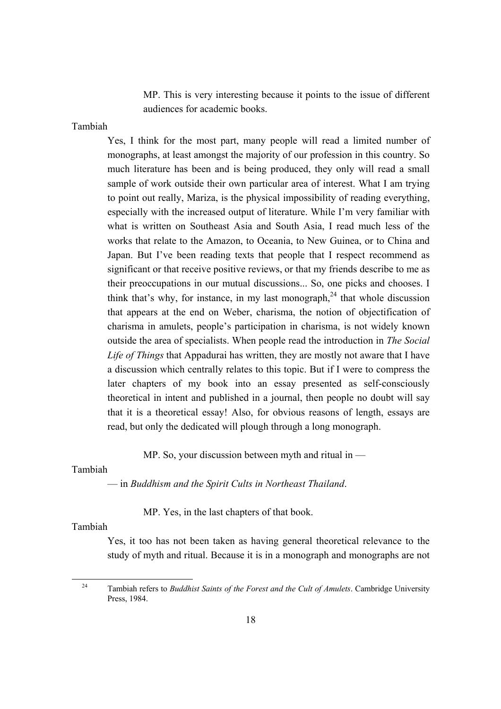MP. This is very interesting because it points to the issue of different audiences for academic books.

Tambiah

Yes, I think for the most part, many people will read a limited number of monographs, at least amongst the majority of our profession in this country. So much literature has been and is being produced, they only will read a small sample of work outside their own particular area of interest. What I am trying to point out really, Mariza, is the physical impossibility of reading everything, especially with the increased output of literature. While I'm very familiar with what is written on Southeast Asia and South Asia, I read much less of the works that relate to the Amazon, to Oceania, to New Guinea, or to China and Japan. But I've been reading texts that people that I respect recommend as significant or that receive positive reviews, or that my friends describe to me as their preoccupations in our mutual discussions... So, one picks and chooses. I think that's why, for instance, in my last monograph,  $24$  that whole discussion that appears at the end on Weber, charisma, the notion of objectification of charisma in amulets, people's participation in charisma, is not widely known outside the area of specialists. When people read the introduction in *The Social Life of Things* that Appadurai has written, they are mostly not aware that I have a discussion which centrally relates to this topic. But if I were to compress the later chapters of my book into an essay presented as self-consciously theoretical in intent and published in a journal, then people no doubt will say that it is a theoretical essay! Also, for obvious reasons of length, essays are read, but only the dedicated will plough through a long monograph.

MP. So, your discussion between myth and ritual in —

#### Tambiah

— in *Buddhism and the Spirit Cults in Northeast Thailand*.

MP. Yes, in the last chapters of that book.

# Tambiah

 $\overline{a}$ 

Yes, it too has not been taken as having general theoretical relevance to the study of myth and ritual. Because it is in a monograph and monographs are not

<span id="page-17-0"></span><sup>24</sup> Tambiah refers to *Buddhist Saints of the Forest and the Cult of Amulets*. Cambridge University Press, 1984.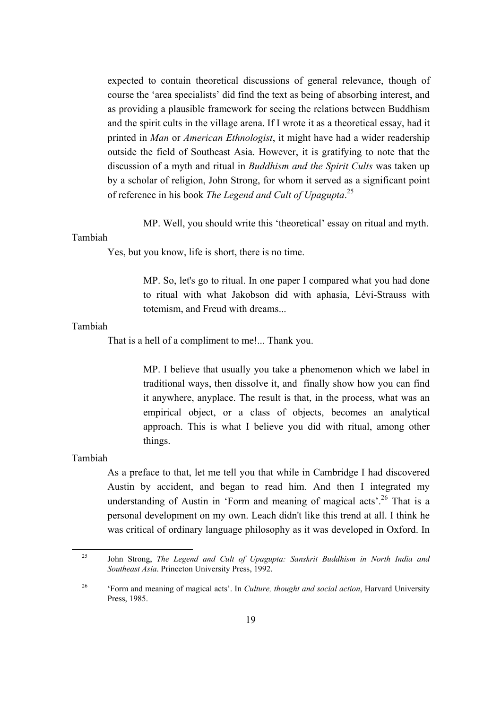expected to contain theoretical discussions of general relevance, though of course the 'area specialists' did find the text as being of absorbing interest, and as providing a plausible framework for seeing the relations between Buddhism and the spirit cults in the village arena. If I wrote it as a theoretical essay, had it printed in *Man* or *American Ethnologist*, it might have had a wider readership outside the field of Southeast Asia. However, it is gratifying to note that the discussion of a myth and ritual in *Buddhism and the Spirit Cults* was taken up by a scholar of religion, John Strong, for whom it served as a significant point of reference in his book *The Legend and Cult of Upagupta*. [25](#page-18-0)

MP. Well, you should write this 'theoretical' essay on ritual and myth.

# Tambiah

Yes, but you know, life is short, there is no time.

MP. So, let's go to ritual. In one paper I compared what you had done to ritual with what Jakobson did with aphasia, Lévi-Strauss with totemism, and Freud with dreams...

## Tambiah

That is a hell of a compliment to me!... Thank you.

MP. I believe that usually you take a phenomenon which we label in traditional ways, then dissolve it, and finally show how you can find it anywhere, anyplace. The result is that, in the process, what was an empirical object, or a class of objects, becomes an analytical approach. This is what I believe you did with ritual, among other things.

## Tambiah

As a preface to that, let me tell you that while in Cambridge I had discovered Austin by accident, and began to read him. And then I integrated my understanding of Austin in 'Form and meaning of magical acts'.<sup>26</sup> That is a personal development on my own. Leach didn't like this trend at all. I think he was critical of ordinary language philosophy as it was developed in Oxford. In

<span id="page-18-0"></span><sup>25</sup> John Strong, *The Legend and Cult of Upagupta: Sanskrit Buddhism in North India and Southeast Asia*. Princeton University Press, 1992.

<span id="page-18-1"></span><sup>26</sup> 'Form and meaning of magical acts'. In *Culture, thought and social action*, Harvard University Press, 1985.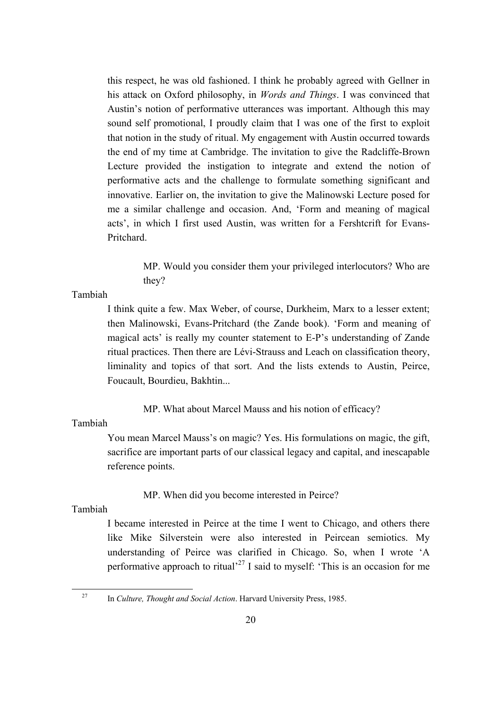this respect, he was old fashioned. I think he probably agreed with Gellner in his attack on Oxford philosophy, in *Words and Things*. I was convinced that Austin's notion of performative utterances was important. Although this may sound self promotional, I proudly claim that I was one of the first to exploit that notion in the study of ritual. My engagement with Austin occurred towards the end of my time at Cambridge. The invitation to give the Radcliffe-Brown Lecture provided the instigation to integrate and extend the notion of performative acts and the challenge to formulate something significant and innovative. Earlier on, the invitation to give the Malinowski Lecture posed for me a similar challenge and occasion. And, 'Form and meaning of magical acts', in which I first used Austin, was written for a Fershtcrift for Evans-Pritchard.

> MP. Would you consider them your privileged interlocutors? Who are they?

# Tambiah

I think quite a few. Max Weber, of course, Durkheim, Marx to a lesser extent; then Malinowski, Evans-Pritchard (the Zande book). 'Form and meaning of magical acts' is really my counter statement to E-P's understanding of Zande ritual practices. Then there are Lévi-Strauss and Leach on classification theory, liminality and topics of that sort. And the lists extends to Austin, Peirce, Foucault, Bourdieu, Bakhtin...

MP. What about Marcel Mauss and his notion of efficacy?

# Tambiah

You mean Marcel Mauss's on magic? Yes. His formulations on magic, the gift, sacrifice are important parts of our classical legacy and capital, and inescapable reference points.

MP. When did you become interested in Peirce?

# Tambiah

I became interested in Peirce at the time I went to Chicago, and others there like Mike Silverstein were also interested in Peircean semiotics. My understanding of Peirce was clarified in Chicago. So, when I wrote 'A performative approach to ritual<sup> $27$ </sup> I said to myself: 'This is an occasion for me

<span id="page-19-0"></span><sup>27</sup> In *Culture, Thought and Social Action*. Harvard University Press, 1985.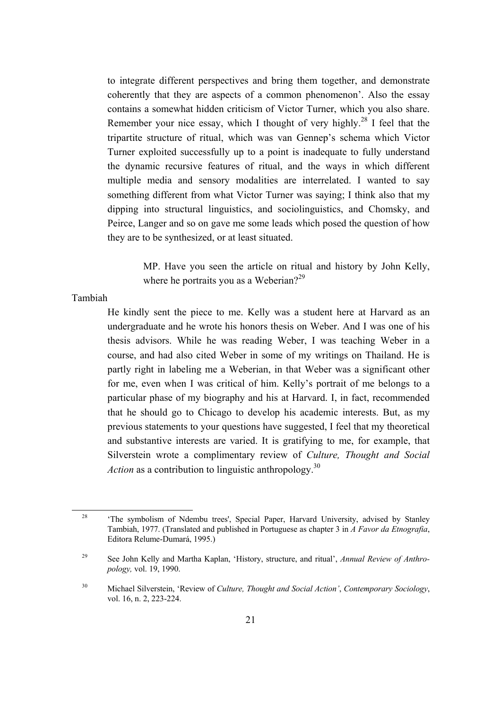to integrate different perspectives and bring them together, and demonstrate coherently that they are aspects of a common phenomenon'. Also the essay contains a somewhat hidden criticism of Victor Turner, which you also share. Remember your nice essay, which I thought of very highly.<sup>28</sup> I feel that the tripartite structure of ritual, which was van Gennep's schema which Victor Turner exploited successfully up to a point is inadequate to fully understand the dynamic recursive features of ritual, and the ways in which different multiple media and sensory modalities are interrelated. I wanted to say something different from what Victor Turner was saying; I think also that my dipping into structural linguistics, and sociolinguistics, and Chomsky, and Peirce, Langer and so on gave me some leads which posed the question of how they are to be synthesized, or at least situated.

> MP. Have you seen the article on ritual and history by John Kelly, where he portraits you as a Weberian? $2^2$

Tambiah

 $\overline{a}$ 

He kindly sent the piece to me. Kelly was a student here at Harvard as an undergraduate and he wrote his honors thesis on Weber. And I was one of his thesis advisors. While he was reading Weber, I was teaching Weber in a course, and had also cited Weber in some of my writings on Thailand. He is partly right in labeling me a Weberian, in that Weber was a significant other for me, even when I was critical of him. Kelly's portrait of me belongs to a particular phase of my biography and his at Harvard. I, in fact, recommended that he should go to Chicago to develop his academic interests. But, as my previous statements to your questions have suggested, I feel that my theoretical and substantive interests are varied. It is gratifying to me, for example, that Silverstein wrote a complimentary review of *Culture, Thought and Social Action* as a contribution to linguistic anthropology.<sup>[30](#page-20-2)</sup>

<span id="page-20-0"></span><sup>&</sup>lt;sup>28</sup> 'The symbolism of Ndembu trees', Special Paper, Harvard University, advised by Stanley Tambiah, 1977. (Translated and published in Portuguese as chapter 3 in *A Favor da Etnografia*, Editora Relume-Dumará, 1995.)

<span id="page-20-1"></span><sup>29</sup> See John Kelly and Martha Kaplan, 'History, structure, and ritual', *Annual Review of Anthropology,* vol. 19, 1990.

<span id="page-20-2"></span><sup>30</sup> Michael Silverstein, 'Review of *Culture, Thought and Social Action'*, *Contemporary Sociology*, vol. 16, n. 2, 223-224.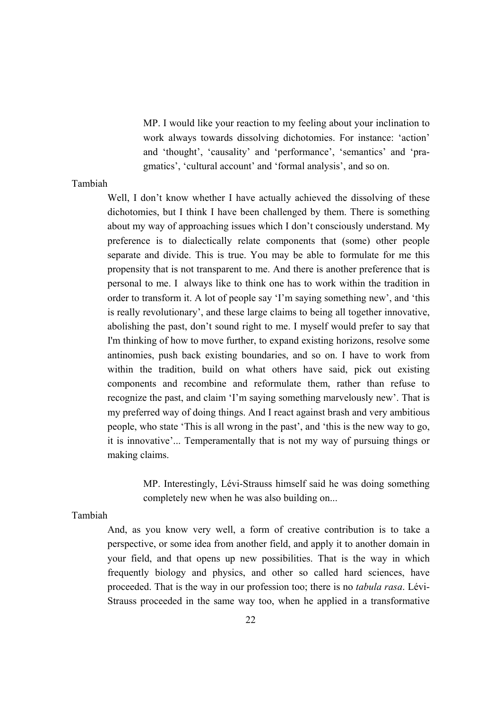MP. I would like your reaction to my feeling about your inclination to work always towards dissolving dichotomies. For instance: 'action' and 'thought', 'causality' and 'performance', 'semantics' and 'pragmatics', 'cultural account' and 'formal analysis', and so on.

# Tambiah

Well, I don't know whether I have actually achieved the dissolving of these dichotomies, but I think I have been challenged by them. There is something about my way of approaching issues which I don't consciously understand. My preference is to dialectically relate components that (some) other people separate and divide. This is true. You may be able to formulate for me this propensity that is not transparent to me. And there is another preference that is personal to me. I always like to think one has to work within the tradition in order to transform it. A lot of people say 'I'm saying something new', and 'this is really revolutionary', and these large claims to being all together innovative, abolishing the past, don't sound right to me. I myself would prefer to say that I'm thinking of how to move further, to expand existing horizons, resolve some antinomies, push back existing boundaries, and so on. I have to work from within the tradition, build on what others have said, pick out existing components and recombine and reformulate them, rather than refuse to recognize the past, and claim 'I'm saying something marvelously new'. That is my preferred way of doing things. And I react against brash and very ambitious people, who state 'This is all wrong in the past', and 'this is the new way to go, it is innovative'... Temperamentally that is not my way of pursuing things or making claims.

> MP. Interestingly, Lévi-Strauss himself said he was doing something completely new when he was also building on...

#### Tambiah

And, as you know very well, a form of creative contribution is to take a perspective, or some idea from another field, and apply it to another domain in your field, and that opens up new possibilities. That is the way in which frequently biology and physics, and other so called hard sciences, have proceeded. That is the way in our profession too; there is no *tabula rasa*. Lévi-Strauss proceeded in the same way too, when he applied in a transformative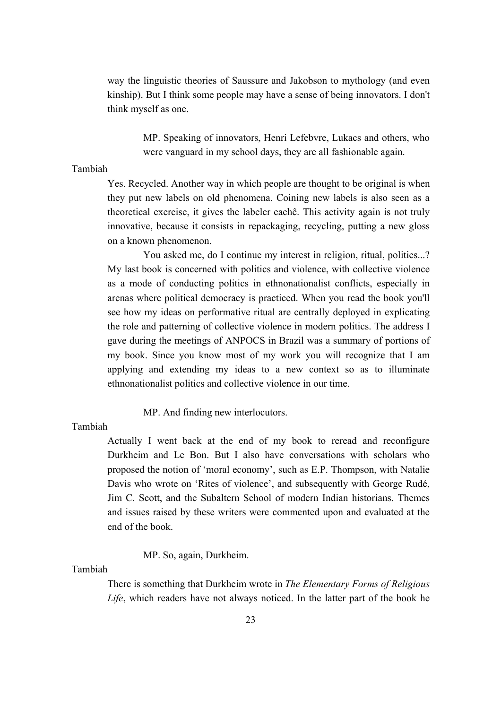way the linguistic theories of Saussure and Jakobson to mythology (and even kinship). But I think some people may have a sense of being innovators. I don't think myself as one.

> MP. Speaking of innovators, Henri Lefebvre, Lukacs and others, who were vanguard in my school days, they are all fashionable again.

## Tambiah

Yes. Recycled. Another way in which people are thought to be original is when they put new labels on old phenomena. Coining new labels is also seen as a theoretical exercise, it gives the labeler cachê. This activity again is not truly innovative, because it consists in repackaging, recycling, putting a new gloss on a known phenomenon.

You asked me, do I continue my interest in religion, ritual, politics...? My last book is concerned with politics and violence, with collective violence as a mode of conducting politics in ethnonationalist conflicts, especially in arenas where political democracy is practiced. When you read the book you'll see how my ideas on performative ritual are centrally deployed in explicating the role and patterning of collective violence in modern politics. The address I gave during the meetings of ANPOCS in Brazil was a summary of portions of my book. Since you know most of my work you will recognize that I am applying and extending my ideas to a new context so as to illuminate ethnonationalist politics and collective violence in our time.

MP. And finding new interlocutors.

# Tambiah

Actually I went back at the end of my book to reread and reconfigure Durkheim and Le Bon. But I also have conversations with scholars who proposed the notion of 'moral economy', such as E.P. Thompson, with Natalie Davis who wrote on 'Rites of violence', and subsequently with George Rudé, Jim C. Scott, and the Subaltern School of modern Indian historians. Themes and issues raised by these writers were commented upon and evaluated at the end of the book.

MP. So, again, Durkheim.

Tambiah

There is something that Durkheim wrote in *The Elementary Forms of Religious Life*, which readers have not always noticed. In the latter part of the book he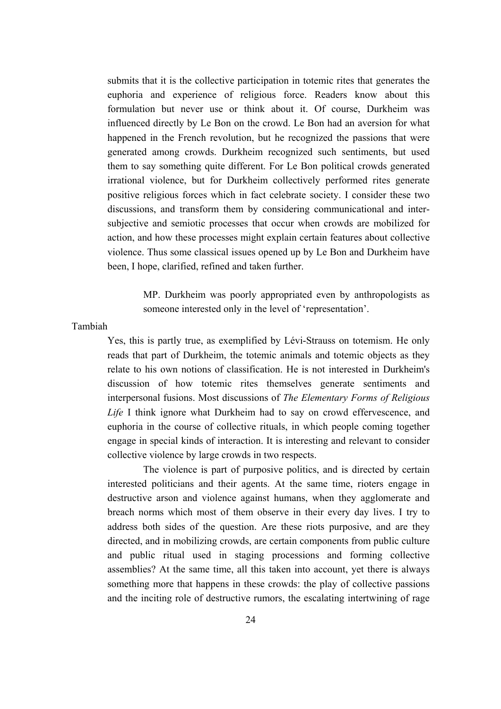submits that it is the collective participation in totemic rites that generates the euphoria and experience of religious force. Readers know about this formulation but never use or think about it. Of course, Durkheim was influenced directly by Le Bon on the crowd. Le Bon had an aversion for what happened in the French revolution, but he recognized the passions that were generated among crowds. Durkheim recognized such sentiments, but used them to say something quite different. For Le Bon political crowds generated irrational violence, but for Durkheim collectively performed rites generate positive religious forces which in fact celebrate society. I consider these two discussions, and transform them by considering communicational and intersubjective and semiotic processes that occur when crowds are mobilized for action, and how these processes might explain certain features about collective violence. Thus some classical issues opened up by Le Bon and Durkheim have been, I hope, clarified, refined and taken further.

> MP. Durkheim was poorly appropriated even by anthropologists as someone interested only in the level of 'representation'.

#### Tambiah

Yes, this is partly true, as exemplified by Lévi-Strauss on totemism. He only reads that part of Durkheim, the totemic animals and totemic objects as they relate to his own notions of classification. He is not interested in Durkheim's discussion of how totemic rites themselves generate sentiments and interpersonal fusions. Most discussions of *The Elementary Forms of Religious Life* I think ignore what Durkheim had to say on crowd effervescence, and euphoria in the course of collective rituals, in which people coming together engage in special kinds of interaction. It is interesting and relevant to consider collective violence by large crowds in two respects.

The violence is part of purposive politics, and is directed by certain interested politicians and their agents. At the same time, rioters engage in destructive arson and violence against humans, when they agglomerate and breach norms which most of them observe in their every day lives. I try to address both sides of the question. Are these riots purposive, and are they directed, and in mobilizing crowds, are certain components from public culture and public ritual used in staging processions and forming collective assemblies? At the same time, all this taken into account, yet there is always something more that happens in these crowds: the play of collective passions and the inciting role of destructive rumors, the escalating intertwining of rage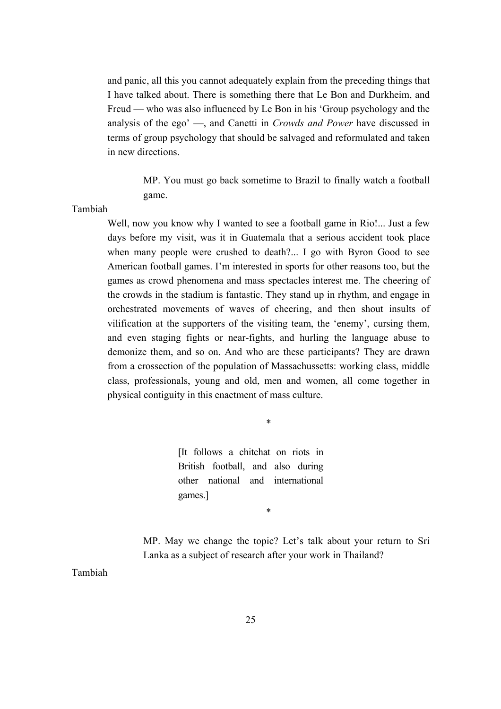and panic, all this you cannot adequately explain from the preceding things that I have talked about. There is something there that Le Bon and Durkheim, and Freud — who was also influenced by Le Bon in his 'Group psychology and the analysis of the ego' —, and Canetti in *Crowds and Power* have discussed in terms of group psychology that should be salvaged and reformulated and taken in new directions.

> MP. You must go back sometime to Brazil to finally watch a football game.

Tambiah

Well, now you know why I wanted to see a football game in Rio!... Just a few days before my visit, was it in Guatemala that a serious accident took place when many people were crushed to death?... I go with Byron Good to see American football games. I'm interested in sports for other reasons too, but the games as crowd phenomena and mass spectacles interest me. The cheering of the crowds in the stadium is fantastic. They stand up in rhythm, and engage in orchestrated movements of waves of cheering, and then shout insults of vilification at the supporters of the visiting team, the 'enemy', cursing them, and even staging fights or near-fights, and hurling the language abuse to demonize them, and so on. And who are these participants? They are drawn from a crossection of the population of Massachussetts: working class, middle class, professionals, young and old, men and women, all come together in physical contiguity in this enactment of mass culture.

\*

\*

[It follows a chitchat on riots in British football, and also during other national and international games.]

MP. May we change the topic? Let's talk about your return to Sri Lanka as a subject of research after your work in Thailand?

Tambiah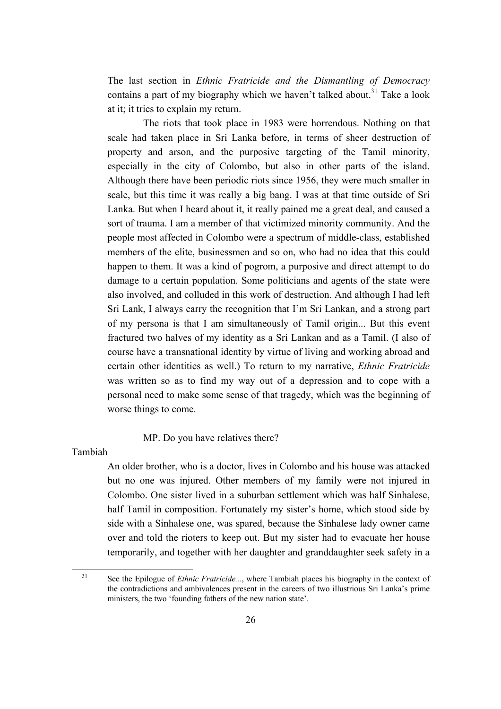The last section in *Ethnic Fratricide and the Dismantling of Democracy* contains a part of my biography which we haven't talked about.<sup>31</sup> Take a look at it; it tries to explain my return.

The riots that took place in 1983 were horrendous. Nothing on that scale had taken place in Sri Lanka before, in terms of sheer destruction of property and arson, and the purposive targeting of the Tamil minority, especially in the city of Colombo, but also in other parts of the island. Although there have been periodic riots since 1956, they were much smaller in scale, but this time it was really a big bang. I was at that time outside of Sri Lanka. But when I heard about it, it really pained me a great deal, and caused a sort of trauma. I am a member of that victimized minority community. And the people most affected in Colombo were a spectrum of middle-class, established members of the elite, businessmen and so on, who had no idea that this could happen to them. It was a kind of pogrom, a purposive and direct attempt to do damage to a certain population. Some politicians and agents of the state were also involved, and colluded in this work of destruction. And although I had left Sri Lank, I always carry the recognition that I'm Sri Lankan, and a strong part of my persona is that I am simultaneously of Tamil origin... But this event fractured two halves of my identity as a Sri Lankan and as a Tamil. (I also of course have a transnational identity by virtue of living and working abroad and certain other identities as well.) To return to my narrative, *Ethnic Fratricide* was written so as to find my way out of a depression and to cope with a personal need to make some sense of that tragedy, which was the beginning of worse things to come.

MP. Do you have relatives there?

Tambiah

An older brother, who is a doctor, lives in Colombo and his house was attacked but no one was injured. Other members of my family were not injured in Colombo. One sister lived in a suburban settlement which was half Sinhalese, half Tamil in composition. Fortunately my sister's home, which stood side by side with a Sinhalese one, was spared, because the Sinhalese lady owner came over and told the rioters to keep out. But my sister had to evacuate her house temporarily, and together with her daughter and granddaughter seek safety in a

<span id="page-25-0"></span><sup>&</sup>lt;sup>31</sup> See the Epilogue of *Ethnic Fratricide...*, where Tambiah places his biography in the context of the contradictions and ambivalences present in the careers of two illustrious Sri Lanka's prime ministers, the two 'founding fathers of the new nation state'.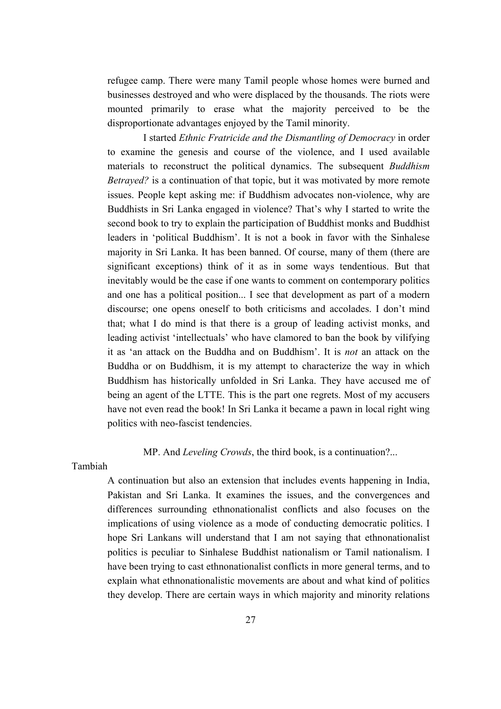refugee camp. There were many Tamil people whose homes were burned and businesses destroyed and who were displaced by the thousands. The riots were mounted primarily to erase what the majority perceived to be the disproportionate advantages enjoyed by the Tamil minority.

I started *Ethnic Fratricide and the Dismantling of Democracy* in order to examine the genesis and course of the violence, and I used available materials to reconstruct the political dynamics. The subsequent *Buddhism Betrayed?* is a continuation of that topic, but it was motivated by more remote issues. People kept asking me: if Buddhism advocates non-violence, why are Buddhists in Sri Lanka engaged in violence? That's why I started to write the second book to try to explain the participation of Buddhist monks and Buddhist leaders in 'political Buddhism'. It is not a book in favor with the Sinhalese majority in Sri Lanka. It has been banned. Of course, many of them (there are significant exceptions) think of it as in some ways tendentious. But that inevitably would be the case if one wants to comment on contemporary politics and one has a political position... I see that development as part of a modern discourse; one opens oneself to both criticisms and accolades. I don't mind that; what I do mind is that there is a group of leading activist monks, and leading activist 'intellectuals' who have clamored to ban the book by vilifying it as 'an attack on the Buddha and on Buddhism'. It is *not* an attack on the Buddha or on Buddhism, it is my attempt to characterize the way in which Buddhism has historically unfolded in Sri Lanka. They have accused me of being an agent of the LTTE. This is the part one regrets. Most of my accusers have not even read the book! In Sri Lanka it became a pawn in local right wing politics with neo-fascist tendencies.

# MP. And *Leveling Crowds*, the third book, is a continuation?...

Tambiah

A continuation but also an extension that includes events happening in India, Pakistan and Sri Lanka. It examines the issues, and the convergences and differences surrounding ethnonationalist conflicts and also focuses on the implications of using violence as a mode of conducting democratic politics. I hope Sri Lankans will understand that I am not saying that ethnonationalist politics is peculiar to Sinhalese Buddhist nationalism or Tamil nationalism. I have been trying to cast ethnonationalist conflicts in more general terms, and to explain what ethnonationalistic movements are about and what kind of politics they develop. There are certain ways in which majority and minority relations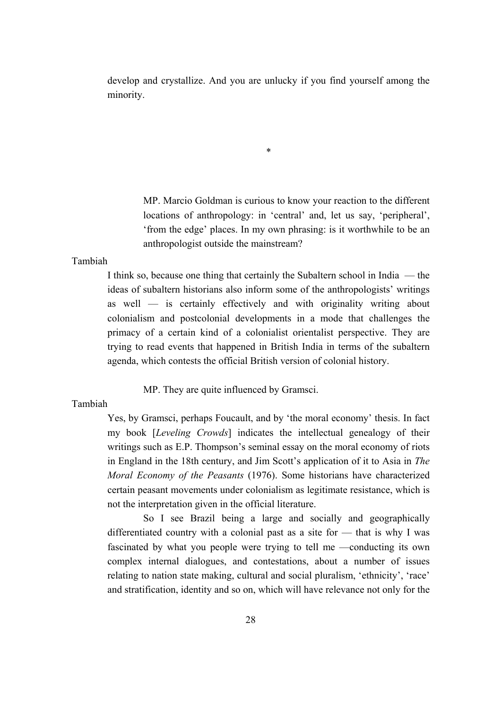develop and crystallize. And you are unlucky if you find yourself among the minority.

\*

MP. Marcio Goldman is curious to know your reaction to the different locations of anthropology: in 'central' and, let us say, 'peripheral', 'from the edge' places. In my own phrasing: is it worthwhile to be an anthropologist outside the mainstream?

Tambiah

I think so, because one thing that certainly the Subaltern school in India — the ideas of subaltern historians also inform some of the anthropologists' writings as well — is certainly effectively and with originality writing about colonialism and postcolonial developments in a mode that challenges the primacy of a certain kind of a colonialist orientalist perspective. They are trying to read events that happened in British India in terms of the subaltern agenda, which contests the official British version of colonial history.

MP. They are quite influenced by Gramsci.

# Tambiah

Yes, by Gramsci, perhaps Foucault, and by 'the moral economy' thesis. In fact my book [*Leveling Crowds*] indicates the intellectual genealogy of their writings such as E.P. Thompson's seminal essay on the moral economy of riots in England in the 18th century, and Jim Scott's application of it to Asia in *The Moral Economy of the Peasants* (1976). Some historians have characterized certain peasant movements under colonialism as legitimate resistance, which is not the interpretation given in the official literature.

So I see Brazil being a large and socially and geographically differentiated country with a colonial past as a site for — that is why I was fascinated by what you people were trying to tell me —conducting its own complex internal dialogues, and contestations, about a number of issues relating to nation state making, cultural and social pluralism, 'ethnicity', 'race' and stratification, identity and so on, which will have relevance not only for the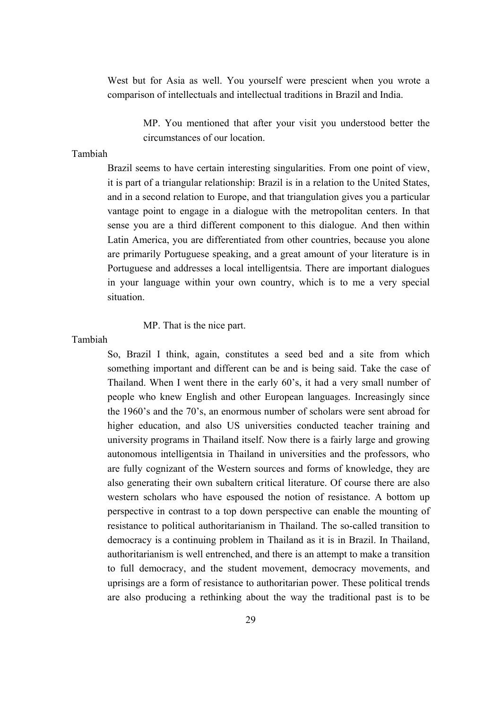West but for Asia as well. You yourself were prescient when you wrote a comparison of intellectuals and intellectual traditions in Brazil and India.

> MP. You mentioned that after your visit you understood better the circumstances of our location.

# Tambiah

Brazil seems to have certain interesting singularities. From one point of view, it is part of a triangular relationship: Brazil is in a relation to the United States, and in a second relation to Europe, and that triangulation gives you a particular vantage point to engage in a dialogue with the metropolitan centers. In that sense you are a third different component to this dialogue. And then within Latin America, you are differentiated from other countries, because you alone are primarily Portuguese speaking, and a great amount of your literature is in Portuguese and addresses a local intelligentsia. There are important dialogues in your language within your own country, which is to me a very special situation.

MP. That is the nice part.

Tambiah

So, Brazil I think, again, constitutes a seed bed and a site from which something important and different can be and is being said. Take the case of Thailand. When I went there in the early 60's, it had a very small number of people who knew English and other European languages. Increasingly since the 1960's and the 70's, an enormous number of scholars were sent abroad for higher education, and also US universities conducted teacher training and university programs in Thailand itself. Now there is a fairly large and growing autonomous intelligentsia in Thailand in universities and the professors, who are fully cognizant of the Western sources and forms of knowledge, they are also generating their own subaltern critical literature. Of course there are also western scholars who have espoused the notion of resistance. A bottom up perspective in contrast to a top down perspective can enable the mounting of resistance to political authoritarianism in Thailand. The so-called transition to democracy is a continuing problem in Thailand as it is in Brazil. In Thailand, authoritarianism is well entrenched, and there is an attempt to make a transition to full democracy, and the student movement, democracy movements, and uprisings are a form of resistance to authoritarian power. These political trends are also producing a rethinking about the way the traditional past is to be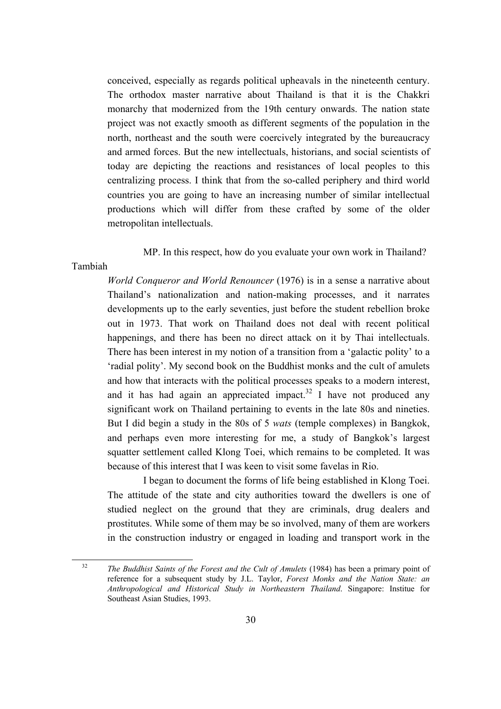conceived, especially as regards political upheavals in the nineteenth century. The orthodox master narrative about Thailand is that it is the Chakkri monarchy that modernized from the 19th century onwards. The nation state project was not exactly smooth as different segments of the population in the north, northeast and the south were coercively integrated by the bureaucracy and armed forces. But the new intellectuals, historians, and social scientists of today are depicting the reactions and resistances of local peoples to this centralizing process. I think that from the so-called periphery and third world countries you are going to have an increasing number of similar intellectual productions which will differ from these crafted by some of the older metropolitan intellectuals.

MP. In this respect, how do you evaluate your own work in Thailand?

#### Tambiah

*World Conqueror and World Renouncer* (1976) is in a sense a narrative about Thailand's nationalization and nation-making processes, and it narrates developments up to the early seventies, just before the student rebellion broke out in 1973. That work on Thailand does not deal with recent political happenings, and there has been no direct attack on it by Thai intellectuals. There has been interest in my notion of a transition from a 'galactic polity' to a 'radial polity'. My second book on the Buddhist monks and the cult of amulets and how that interacts with the political processes speaks to a modern interest, and it has had again an appreciated impact.<sup>32</sup> I have not produced any significant work on Thailand pertaining to events in the late 80s and nineties. But I did begin a study in the 80s of 5 *wats* (temple complexes) in Bangkok, and perhaps even more interesting for me, a study of Bangkok's largest squatter settlement called Klong Toei, which remains to be completed. It was because of this interest that I was keen to visit some favelas in Rio.

I began to document the forms of life being established in Klong Toei. The attitude of the state and city authorities toward the dwellers is one of studied neglect on the ground that they are criminals, drug dealers and prostitutes. While some of them may be so involved, many of them are workers in the construction industry or engaged in loading and transport work in the

<span id="page-29-0"></span><sup>32</sup> *The Buddhist Saints of the Forest and the Cult of Amulets* (1984) has been a primary point of reference for a subsequent study by J.L. Taylor, *Forest Monks and the Nation State: an Anthropological and Historical Study in Northeastern Thailand*. Singapore: Institue for Southeast Asian Studies, 1993.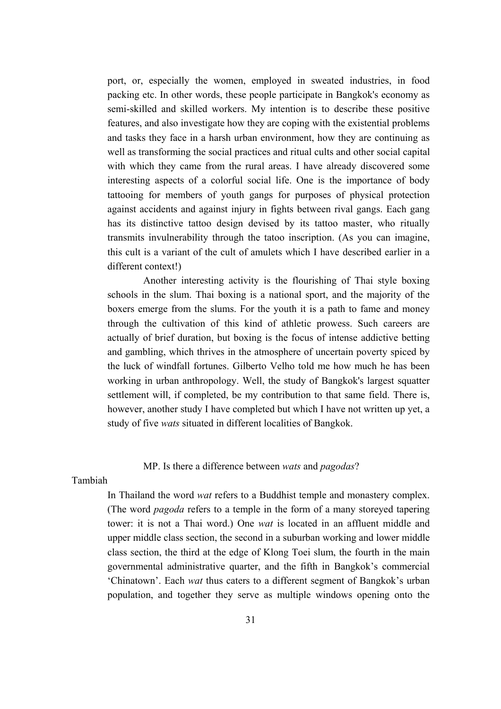port, or, especially the women, employed in sweated industries, in food packing etc. In other words, these people participate in Bangkok's economy as semi-skilled and skilled workers. My intention is to describe these positive features, and also investigate how they are coping with the existential problems and tasks they face in a harsh urban environment, how they are continuing as well as transforming the social practices and ritual cults and other social capital with which they came from the rural areas. I have already discovered some interesting aspects of a colorful social life. One is the importance of body tattooing for members of youth gangs for purposes of physical protection against accidents and against injury in fights between rival gangs. Each gang has its distinctive tattoo design devised by its tattoo master, who ritually transmits invulnerability through the tatoo inscription. (As you can imagine, this cult is a variant of the cult of amulets which I have described earlier in a different context!)

Another interesting activity is the flourishing of Thai style boxing schools in the slum. Thai boxing is a national sport, and the majority of the boxers emerge from the slums. For the youth it is a path to fame and money through the cultivation of this kind of athletic prowess. Such careers are actually of brief duration, but boxing is the focus of intense addictive betting and gambling, which thrives in the atmosphere of uncertain poverty spiced by the luck of windfall fortunes. Gilberto Velho told me how much he has been working in urban anthropology. Well, the study of Bangkok's largest squatter settlement will, if completed, be my contribution to that same field. There is, however, another study I have completed but which I have not written up yet, a study of five *wats* situated in different localities of Bangkok.

# MP. Is there a difference between *wats* and *pagodas*?

Tambiah

In Thailand the word *wat* refers to a Buddhist temple and monastery complex. (The word *pagoda* refers to a temple in the form of a many storeyed tapering tower: it is not a Thai word.) One *wat* is located in an affluent middle and upper middle class section, the second in a suburban working and lower middle class section, the third at the edge of Klong Toei slum, the fourth in the main governmental administrative quarter, and the fifth in Bangkok's commercial 'Chinatown'. Each *wat* thus caters to a different segment of Bangkok's urban population, and together they serve as multiple windows opening onto the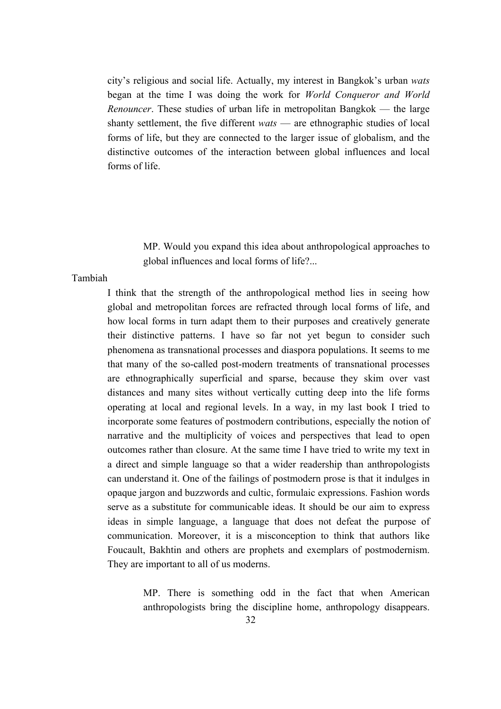city's religious and social life. Actually, my interest in Bangkok's urban *wats* began at the time I was doing the work for *World Conqueror and World Renouncer*. These studies of urban life in metropolitan Bangkok — the large shanty settlement, the five different *wats* — are ethnographic studies of local forms of life, but they are connected to the larger issue of globalism, and the distinctive outcomes of the interaction between global influences and local forms of life.

> MP. Would you expand this idea about anthropological approaches to global influences and local forms of life?...

#### Tambiah

I think that the strength of the anthropological method lies in seeing how global and metropolitan forces are refracted through local forms of life, and how local forms in turn adapt them to their purposes and creatively generate their distinctive patterns. I have so far not yet begun to consider such phenomena as transnational processes and diaspora populations. It seems to me that many of the so-called post-modern treatments of transnational processes are ethnographically superficial and sparse, because they skim over vast distances and many sites without vertically cutting deep into the life forms operating at local and regional levels. In a way, in my last book I tried to incorporate some features of postmodern contributions, especially the notion of narrative and the multiplicity of voices and perspectives that lead to open outcomes rather than closure. At the same time I have tried to write my text in a direct and simple language so that a wider readership than anthropologists can understand it. One of the failings of postmodern prose is that it indulges in opaque jargon and buzzwords and cultic, formulaic expressions. Fashion words serve as a substitute for communicable ideas. It should be our aim to express ideas in simple language, a language that does not defeat the purpose of communication. Moreover, it is a misconception to think that authors like Foucault, Bakhtin and others are prophets and exemplars of postmodernism. They are important to all of us moderns.

> MP. There is something odd in the fact that when American anthropologists bring the discipline home, anthropology disappears.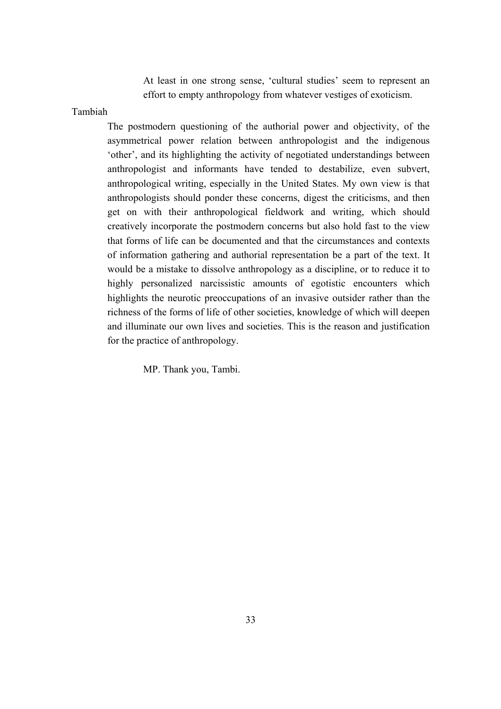At least in one strong sense, 'cultural studies' seem to represent an effort to empty anthropology from whatever vestiges of exoticism.

#### Tambiah

The postmodern questioning of the authorial power and objectivity, of the asymmetrical power relation between anthropologist and the indigenous 'other', and its highlighting the activity of negotiated understandings between anthropologist and informants have tended to destabilize, even subvert, anthropological writing, especially in the United States. My own view is that anthropologists should ponder these concerns, digest the criticisms, and then get on with their anthropological fieldwork and writing, which should creatively incorporate the postmodern concerns but also hold fast to the view that forms of life can be documented and that the circumstances and contexts of information gathering and authorial representation be a part of the text. It would be a mistake to dissolve anthropology as a discipline, or to reduce it to highly personalized narcissistic amounts of egotistic encounters which highlights the neurotic preoccupations of an invasive outsider rather than the richness of the forms of life of other societies, knowledge of which will deepen and illuminate our own lives and societies. This is the reason and justification for the practice of anthropology.

MP. Thank you, Tambi.